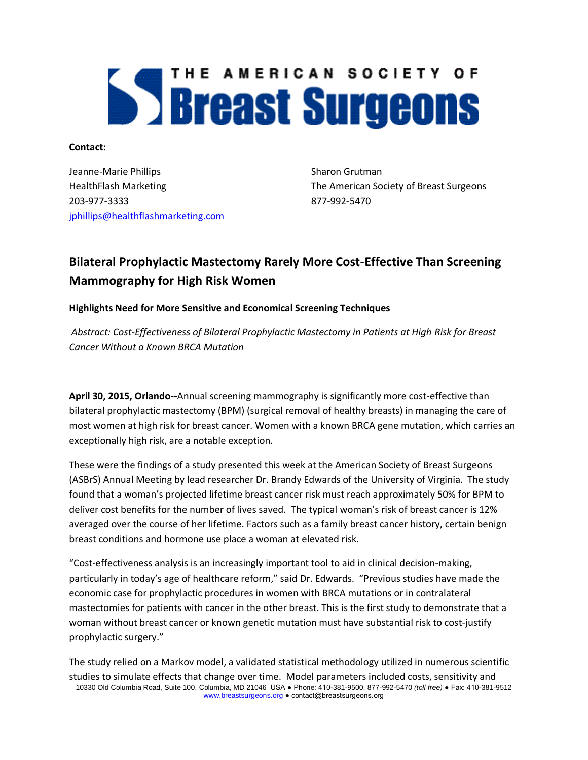# THE AMERICAN SOCIETY OF **Systems**

**Contact:**

Jeanne-Marie Phillips Sharon Grutman 203-977-3333 877-992-5470 [jphillips@healthflashmarketing.com](mailto:jphillips@healthflashmarketing.com)

HealthFlash Marketing The American Society of Breast Surgeons

# **Bilateral Prophylactic Mastectomy Rarely More Cost-Effective Than Screening Mammography for High Risk Women**

## **Highlights Need for More Sensitive and Economical Screening Techniques**

*Abstract: Cost-Effectiveness of Bilateral Prophylactic Mastectomy in Patients at High Risk for Breast Cancer Without a Known BRCA Mutation*

**April 30, 2015, Orlando--**Annual screening mammography is significantly more cost-effective than bilateral prophylactic mastectomy (BPM) (surgical removal of healthy breasts) in managing the care of most women at high risk for breast cancer. Women with a known BRCA gene mutation, which carries an exceptionally high risk, are a notable exception.

These were the findings of a study presented this week at the American Society of Breast Surgeons (ASBrS) Annual Meeting by lead researcher Dr. Brandy Edwards of the University of Virginia. The study found that a woman's projected lifetime breast cancer risk must reach approximately 50% for BPM to deliver cost benefits for the number of lives saved. The typical woman's risk of breast cancer is 12% averaged over the course of her lifetime. Factors such as a family breast cancer history, certain benign breast conditions and hormone use place a woman at elevated risk.

"Cost-effectiveness analysis is an increasingly important tool to aid in clinical decision-making, particularly in today's age of healthcare reform," said Dr. Edwards. "Previous studies have made the economic case for prophylactic procedures in women with BRCA mutations or in contralateral mastectomies for patients with cancer in the other breast. This is the first study to demonstrate that a woman without breast cancer or known genetic mutation must have substantial risk to cost-justify prophylactic surgery."

10330 Old Columbia Road, Suite 100, Columbia, MD 21046 USA ● Phone: 410-381-9500, 877-992-5470 *(toll free)* ● Fax: 410-381-9512 www.breastsurgeons.org ● contact@breastsurgeons.org The study relied on a Markov model, a validated statistical methodology utilized in numerous scientific studies to simulate effects that change over time. Model parameters included costs, sensitivity and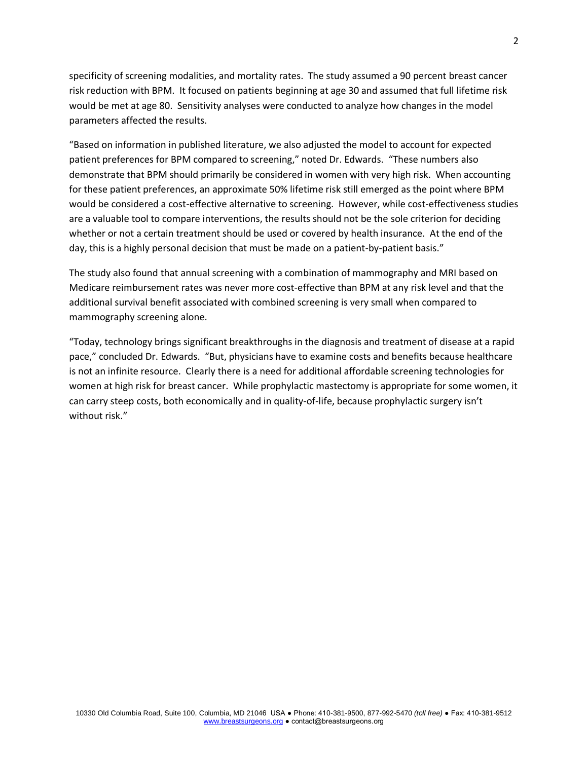specificity of screening modalities, and mortality rates. The study assumed a 90 percent breast cancer risk reduction with BPM. It focused on patients beginning at age 30 and assumed that full lifetime risk would be met at age 80. Sensitivity analyses were conducted to analyze how changes in the model parameters affected the results.

"Based on information in published literature, we also adjusted the model to account for expected patient preferences for BPM compared to screening," noted Dr. Edwards. "These numbers also demonstrate that BPM should primarily be considered in women with very high risk. When accounting for these patient preferences, an approximate 50% lifetime risk still emerged as the point where BPM would be considered a cost-effective alternative to screening. However, while cost-effectiveness studies are a valuable tool to compare interventions, the results should not be the sole criterion for deciding whether or not a certain treatment should be used or covered by health insurance. At the end of the day, this is a highly personal decision that must be made on a patient-by-patient basis."

The study also found that annual screening with a combination of mammography and MRI based on Medicare reimbursement rates was never more cost-effective than BPM at any risk level and that the additional survival benefit associated with combined screening is very small when compared to mammography screening alone.

"Today, technology brings significant breakthroughs in the diagnosis and treatment of disease at a rapid pace," concluded Dr. Edwards. "But, physicians have to examine costs and benefits because healthcare is not an infinite resource. Clearly there is a need for additional affordable screening technologies for women at high risk for breast cancer. While prophylactic mastectomy is appropriate for some women, it can carry steep costs, both economically and in quality-of-life, because prophylactic surgery isn't without risk."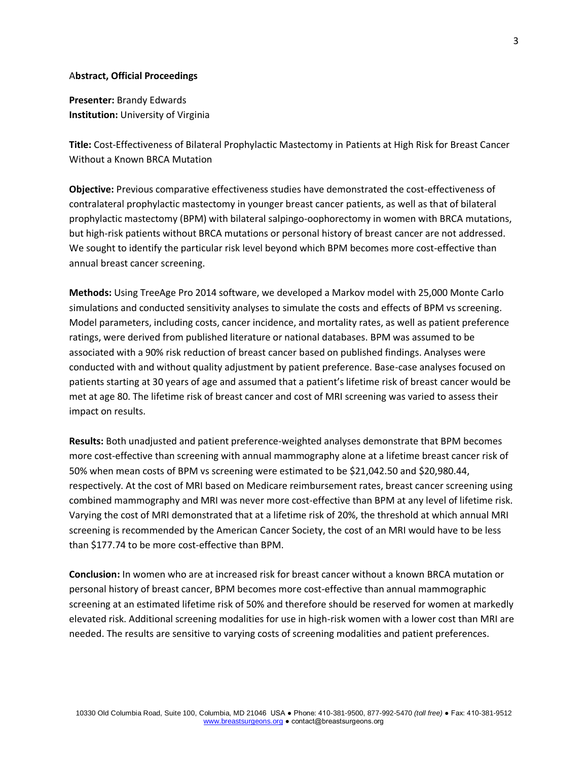#### A**bstract, Official Proceedings**

**Presenter:** Brandy Edwards **Institution:** University of Virginia

**Title:** Cost-Effectiveness of Bilateral Prophylactic Mastectomy in Patients at High Risk for Breast Cancer Without a Known BRCA Mutation

**Objective:** Previous comparative effectiveness studies have demonstrated the cost-effectiveness of contralateral prophylactic mastectomy in younger breast cancer patients, as well as that of bilateral prophylactic mastectomy (BPM) with bilateral salpingo-oophorectomy in women with BRCA mutations, but high-risk patients without BRCA mutations or personal history of breast cancer are not addressed. We sought to identify the particular risk level beyond which BPM becomes more cost-effective than annual breast cancer screening.

**Methods:** Using TreeAge Pro 2014 software, we developed a Markov model with 25,000 Monte Carlo simulations and conducted sensitivity analyses to simulate the costs and effects of BPM vs screening. Model parameters, including costs, cancer incidence, and mortality rates, as well as patient preference ratings, were derived from published literature or national databases. BPM was assumed to be associated with a 90% risk reduction of breast cancer based on published findings. Analyses were conducted with and without quality adjustment by patient preference. Base-case analyses focused on patients starting at 30 years of age and assumed that a patient's lifetime risk of breast cancer would be met at age 80. The lifetime risk of breast cancer and cost of MRI screening was varied to assess their impact on results.

**Results:** Both unadjusted and patient preference-weighted analyses demonstrate that BPM becomes more cost-effective than screening with annual mammography alone at a lifetime breast cancer risk of 50% when mean costs of BPM vs screening were estimated to be \$21,042.50 and \$20,980.44, respectively. At the cost of MRI based on Medicare reimbursement rates, breast cancer screening using combined mammography and MRI was never more cost-effective than BPM at any level of lifetime risk. Varying the cost of MRI demonstrated that at a lifetime risk of 20%, the threshold at which annual MRI screening is recommended by the American Cancer Society, the cost of an MRI would have to be less than \$177.74 to be more cost-effective than BPM.

**Conclusion:** In women who are at increased risk for breast cancer without a known BRCA mutation or personal history of breast cancer, BPM becomes more cost-effective than annual mammographic screening at an estimated lifetime risk of 50% and therefore should be reserved for women at markedly elevated risk. Additional screening modalities for use in high-risk women with a lower cost than MRI are needed. The results are sensitive to varying costs of screening modalities and patient preferences.